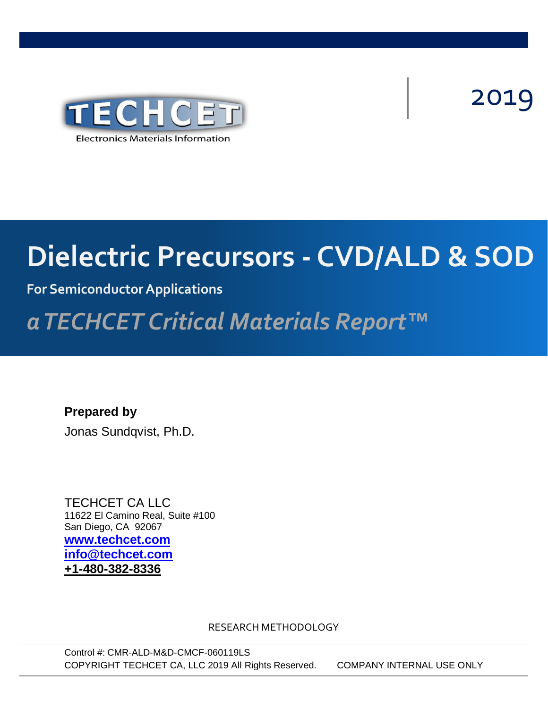

# 2019

# TERECHTET TECHNOLS CYPITIE **Dielectric Precursors - CVD/ALD & SOD**

### **For Semiconductor Applications**

## Advanced Insulating Dielectric Precursors *a TECHCET Critical Materials Report™*

**Prepared by** Jonas Sundqvist, Ph.D.

TECHCET CA LLC 11622 El Camino Real, Suite #100 San Diego, CA 92067 **[www.techcet.com](http://www.techcet.com/) [info@techcet.com](mailto:info@techcet.com) +1-480-382-8336**

RESEARCH METHODOLOGY

Control #: CMR-ALD-M&D-CMCF-060119LS COPYRIGHT TECHCET CA, LLC 2019 All Rights Reserved. COMPANY INTERNAL USE ONLY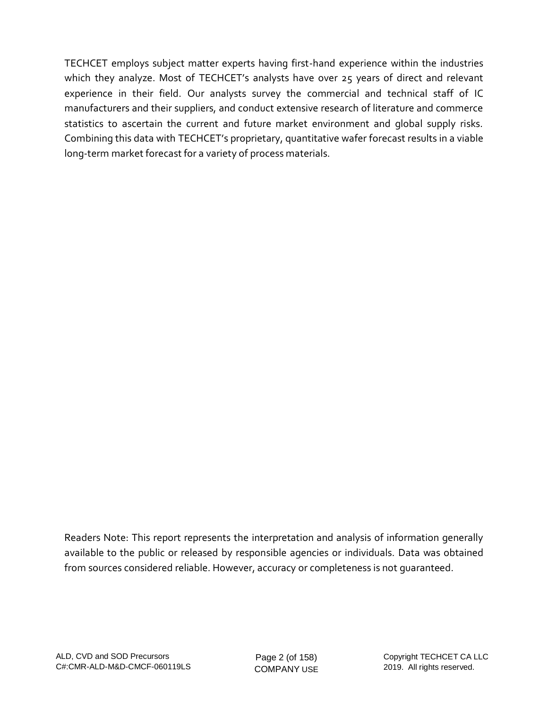TECHCET employs subject matter experts having first-hand experience within the industries which they analyze. Most of TECHCET's analysts have over 25 years of direct and relevant experience in their field. Our analysts survey the commercial and technical staff of IC manufacturers and their suppliers, and conduct extensive research of literature and commerce statistics to ascertain the current and future market environment and global supply risks. Combining this data with TECHCET's proprietary, quantitative wafer forecast results in a viable long-term market forecast for a variety of process materials.

Readers Note: This report represents the interpretation and analysis of information generally available to the public or released by responsible agencies or individuals. Data was obtained from sources considered reliable. However, accuracy or completeness is not guaranteed.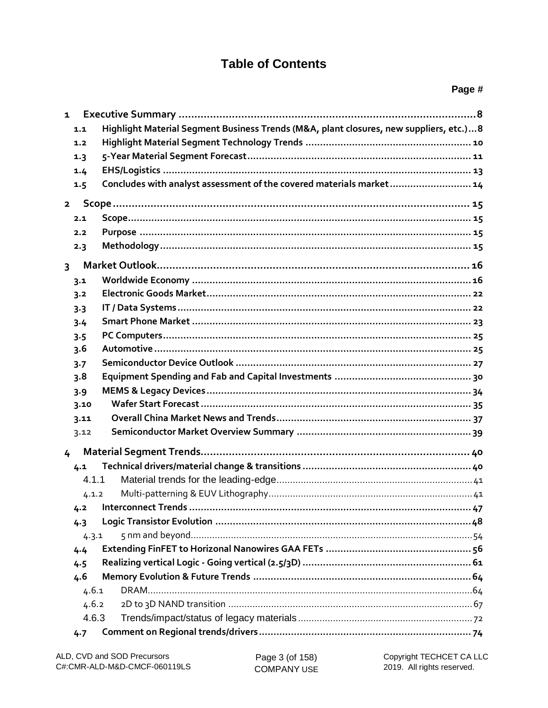#### **Table of Contents**

| 1                       |                                                                                        |
|-------------------------|----------------------------------------------------------------------------------------|
| 1.1                     | Highlight Material Segment Business Trends (M&A, plant closures, new suppliers, etc.)8 |
| 1.2                     |                                                                                        |
| 1.3                     |                                                                                        |
| 1.4                     |                                                                                        |
| 1.5                     | Concludes with analyst assessment of the covered materials market 14                   |
| $\overline{2}$          |                                                                                        |
| 2.1                     |                                                                                        |
| 2.2                     |                                                                                        |
| 2.3                     |                                                                                        |
| $\overline{\mathbf{3}}$ |                                                                                        |
| 3.1                     |                                                                                        |
| 3.2                     |                                                                                        |
| 3.3                     |                                                                                        |
| 3.4                     |                                                                                        |
| 3.5                     |                                                                                        |
| 3.6                     |                                                                                        |
| 3.7                     |                                                                                        |
| 3.8                     |                                                                                        |
| 3.9                     |                                                                                        |
| 3.10                    |                                                                                        |
| 3.11                    |                                                                                        |
| 3.12                    |                                                                                        |
| 4                       |                                                                                        |
| 4.1                     |                                                                                        |
| 4.1.1                   |                                                                                        |
| 4.1.2                   |                                                                                        |
| 4.2                     |                                                                                        |
| 4.3                     |                                                                                        |
| 4.3.1                   |                                                                                        |
| 4.4                     |                                                                                        |
| 4.5                     |                                                                                        |
| 4.6                     |                                                                                        |
| 4.6.1                   |                                                                                        |
| 4.6.2                   |                                                                                        |
| 4.6.3                   |                                                                                        |
| 4.7                     |                                                                                        |

Page 3 (of 158) **COMPANY USE**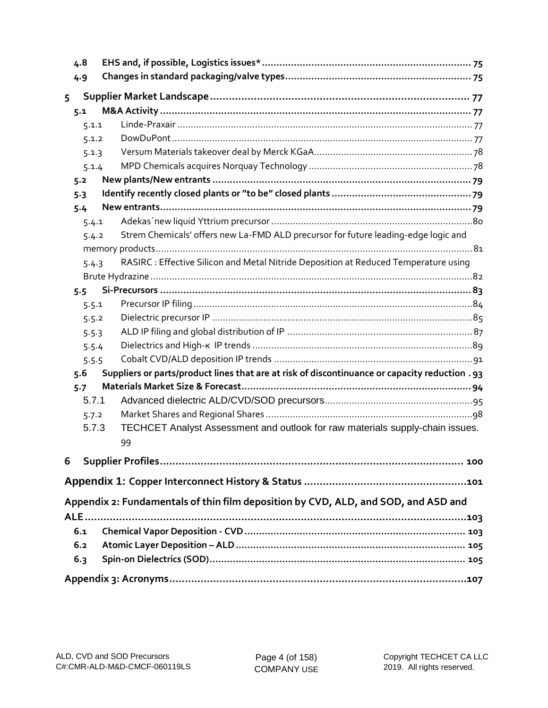|   | 4.8        |                                                                                                |  |  |  |  |
|---|------------|------------------------------------------------------------------------------------------------|--|--|--|--|
|   | 4.9        |                                                                                                |  |  |  |  |
| 5 |            |                                                                                                |  |  |  |  |
|   | 5.1        |                                                                                                |  |  |  |  |
|   | 5.1.1      |                                                                                                |  |  |  |  |
|   | 5.1.2      |                                                                                                |  |  |  |  |
|   | 5.1.3      |                                                                                                |  |  |  |  |
|   | 5.1.4      |                                                                                                |  |  |  |  |
|   | 5.2        |                                                                                                |  |  |  |  |
|   | 5.3        |                                                                                                |  |  |  |  |
|   | 5.4        |                                                                                                |  |  |  |  |
|   | 5.4.1      |                                                                                                |  |  |  |  |
|   | 5.4.2      | Strem Chemicals' offers new La-FMD ALD precursor for future leading-edge logic and             |  |  |  |  |
|   |            |                                                                                                |  |  |  |  |
|   | 5.4.3      | RASIRC : Effective Silicon and Metal Nitride Deposition at Reduced Temperature using           |  |  |  |  |
|   |            |                                                                                                |  |  |  |  |
|   | $5.5 -$    |                                                                                                |  |  |  |  |
|   | 5.5.1      |                                                                                                |  |  |  |  |
|   | 5.5.2      |                                                                                                |  |  |  |  |
|   | 5.5.3      |                                                                                                |  |  |  |  |
|   | 5.5.4      |                                                                                                |  |  |  |  |
|   | 5.5.5      |                                                                                                |  |  |  |  |
|   | 5.6        | Suppliers or parts/product lines that are at risk of discontinuance or capacity reduction . 93 |  |  |  |  |
|   | 5.7        |                                                                                                |  |  |  |  |
|   | 5.7.1      |                                                                                                |  |  |  |  |
|   | 5.7.2      |                                                                                                |  |  |  |  |
|   | 5.7.3      | TECHCET Analyst Assessment and outlook for raw materials supply-chain issues.                  |  |  |  |  |
|   |            | 99                                                                                             |  |  |  |  |
| 6 |            |                                                                                                |  |  |  |  |
|   |            |                                                                                                |  |  |  |  |
|   |            | Appendix 2: Fundamentals of thin film deposition by CVD, ALD, and SOD, and ASD and             |  |  |  |  |
|   | <b>ALE</b> |                                                                                                |  |  |  |  |
|   | 6.1        |                                                                                                |  |  |  |  |
|   | 6.2        |                                                                                                |  |  |  |  |
|   | 6.3        |                                                                                                |  |  |  |  |
|   |            |                                                                                                |  |  |  |  |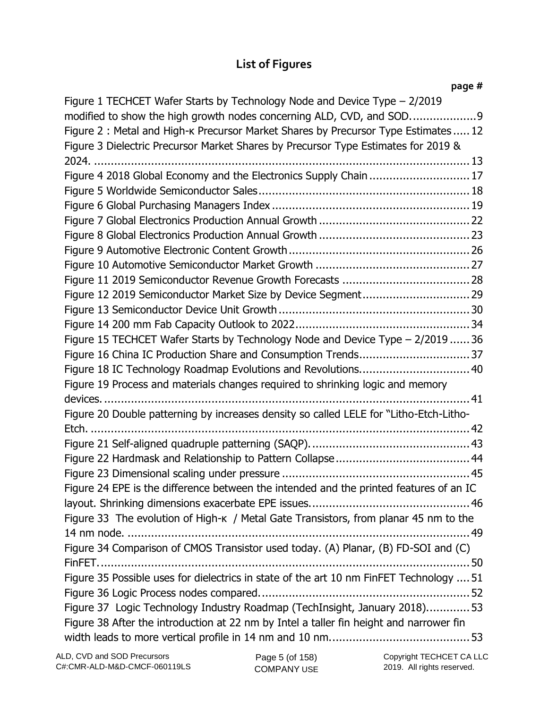### **List of Figures**

| page #                                                                                  |
|-----------------------------------------------------------------------------------------|
| Figure 1 TECHCET Wafer Starts by Technology Node and Device Type - 2/2019               |
| modified to show the high growth nodes concerning ALD, CVD, and SOD                     |
| Figure 2: Metal and High-k Precursor Market Shares by Precursor Type Estimates 12       |
| Figure 3 Dielectric Precursor Market Shares by Precursor Type Estimates for 2019 &      |
|                                                                                         |
| Figure 4 2018 Global Economy and the Electronics Supply Chain  17                       |
|                                                                                         |
|                                                                                         |
|                                                                                         |
|                                                                                         |
|                                                                                         |
|                                                                                         |
|                                                                                         |
| Figure 12 2019 Semiconductor Market Size by Device Segment 29                           |
|                                                                                         |
|                                                                                         |
| Figure 15 TECHCET Wafer Starts by Technology Node and Device Type - 2/2019  36          |
| Figure 16 China IC Production Share and Consumption Trends37                            |
| Figure 18 IC Technology Roadmap Evolutions and Revolutions 40                           |
| Figure 19 Process and materials changes required to shrinking logic and memory          |
|                                                                                         |
| Figure 20 Double patterning by increases density so called LELE for "Litho-Etch-Litho-  |
|                                                                                         |
|                                                                                         |
|                                                                                         |
|                                                                                         |
| Figure 24 EPE is the difference between the intended and the printed features of an IC  |
|                                                                                         |
| Figure 33 The evolution of High-K / Metal Gate Transistors, from planar 45 nm to the    |
|                                                                                         |
| Figure 34 Comparison of CMOS Transistor used today. (A) Planar, (B) FD-SOI and (C)      |
|                                                                                         |
| Figure 35 Possible uses for dielectrics in state of the art 10 nm FinFET Technology  51 |
|                                                                                         |
| Figure 37 Logic Technology Industry Roadmap (TechInsight, January 2018) 53              |
| Figure 38 After the introduction at 22 nm by Intel a taller fin height and narrower fin |
|                                                                                         |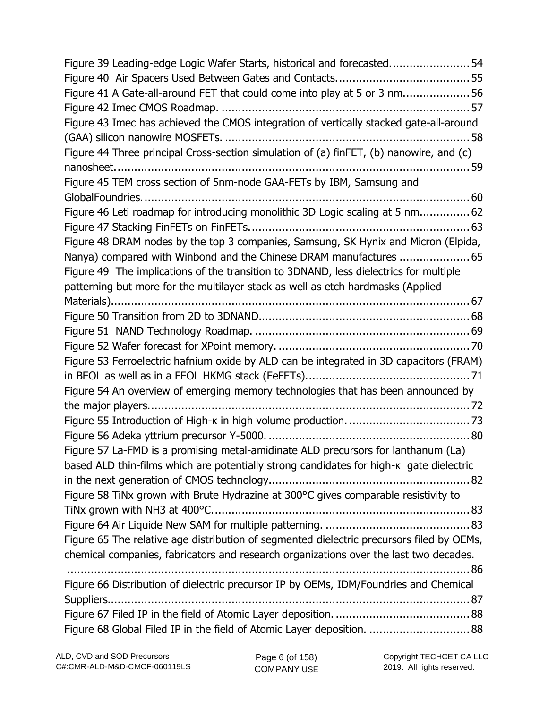| Figure 39 Leading-edge Logic Wafer Starts, historical and forecasted54                          |
|-------------------------------------------------------------------------------------------------|
|                                                                                                 |
| Figure 41 A Gate-all-around FET that could come into play at 5 or 3 nm56                        |
|                                                                                                 |
| Figure 43 Imec has achieved the CMOS integration of vertically stacked gate-all-around          |
|                                                                                                 |
| Figure 44 Three principal Cross-section simulation of (a) finFET, (b) nanowire, and (c)         |
|                                                                                                 |
| Figure 45 TEM cross section of 5nm-node GAA-FETs by IBM, Samsung and                            |
|                                                                                                 |
| Figure 46 Leti roadmap for introducing monolithic 3D Logic scaling at 5 nm 62                   |
|                                                                                                 |
| Figure 48 DRAM nodes by the top 3 companies, Samsung, SK Hynix and Micron (Elpida,              |
| Nanya) compared with Winbond and the Chinese DRAM manufactures  65                              |
| Figure 49 The implications of the transition to 3DNAND, less dielectrics for multiple           |
| patterning but more for the multilayer stack as well as etch hardmasks (Applied                 |
|                                                                                                 |
|                                                                                                 |
|                                                                                                 |
|                                                                                                 |
| Figure 53 Ferroelectric hafnium oxide by ALD can be integrated in 3D capacitors (FRAM)          |
|                                                                                                 |
| Figure 54 An overview of emerging memory technologies that has been announced by                |
|                                                                                                 |
|                                                                                                 |
|                                                                                                 |
| Figure 57 La-FMD is a promising metal-amidinate ALD precursors for lanthanum (La)               |
| based ALD thin-films which are potentially strong candidates for high- $\kappa$ gate dielectric |
|                                                                                                 |
| Figure 58 TiNx grown with Brute Hydrazine at 300°C gives comparable resistivity to              |
|                                                                                                 |
|                                                                                                 |
| Figure 65 The relative age distribution of segmented dielectric precursors filed by OEMs,       |
| chemical companies, fabricators and research organizations over the last two decades.           |
|                                                                                                 |
| Figure 66 Distribution of dielectric precursor IP by OEMs, IDM/Foundries and Chemical           |
|                                                                                                 |
|                                                                                                 |
| Figure 68 Global Filed IP in the field of Atomic Layer deposition.  88                          |

Page 6 (of 158) COMPANY USE